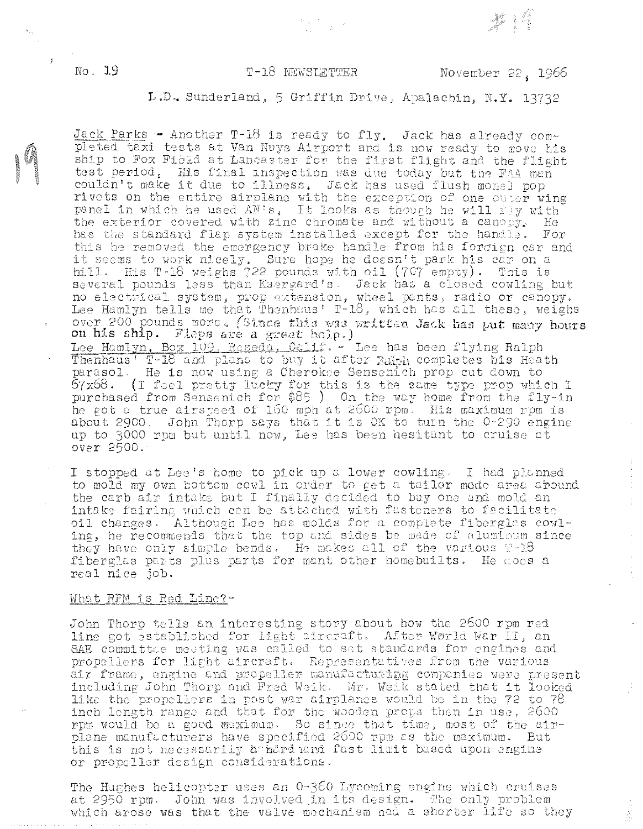# T-18 NEWSLETTER

 $\mathscr{F}^{\perp G}$ 

L.D. Sunderland, 5 Griffin Drive, Apalachin, N.Y. 13732

Jack Parks - Another T-18 is ready to fly. Jack has already completed taxi tests at Van Nuys Airport and is now ready to move his ship to Fox Field at Lancaster for the first flight and the flight test period. His final inspection was due today but the FAA man couldn't make it due to illness. Jack has used flush monel pop rivets on the entire airplane with the exception of one outer wing panel in which he used AN's, It looks as though he will riy with the exterior covered with zinc chromate and without a canopy. He has the standard flap system installed except for the handle. For this he removed the emergency brake handle from his forcign car and it seems to work nicely. Sure hope he doesn't park his car on a hill. His T-18 weighs 722 pounds with oil (707 empty). This is several pounds less than Kaergard's. Jack has a closed cowling but no electrical system, prop extension, wheel pants, radio or canopy. Lee Hamlyn tells me that Thenhaus' T-18, which has all these, weighs over 200 pounds more. (Since this was written Jack has put many hours on his ship. Flaps are a great holp.) Lee Hamlyn, Box 109, Reseda, Calif. - Lee has been flying Ralph Thenhaus' T-18 and plans to buy it after Ratph completes his Heath parasol. He is now using a Cherokee Sensenich prop cut down to

 $67x68$ . (I feel pretty lucky for this is the same type prop which I purchased from Sensenich for  $685$  ) On the way home from the fly-in he got a true airspeed of 160 mph at 2600 rpm. His maximum rpm is about 2900. John Thorp says that it is OK to turn the 0-290 engine up to 3000 rpm but until now, Lee has been hesitant to cruise at over 2500.

I stopped at Lee's home to pick up a lower cowling. I had planned to mold my own bottom cowl in order to get a tailer made area around the carb air intake but I finally decided to buy one and mold an intake fairing which can be attached with fasteners to facilitate oil changes. Although Lee has molds for a complete fiberglas cowling, he recommends that the top and sides be made of aluminum since they have only simple bends. He makes all of the various  $T-18$ fiberglas parts plus parts for mant other homebuilts. He does a real nice job.

## <u>What RPM is Red Line?-</u>

John Thorp tells an interesting story about how the 2600 rpm red line got established for light aircraft. After Wørld War II, an SAE committee meeting was called to set standards for engines and propellers for light aircraft. Representatives from the various air frame, engine and propeller manufacturing companies were present including John Thorp and Fred Weik. Mr. Weik stated that it looked like the propellers in post war airplanes would be in the 72 to 78 inch length range and that for the wooden props then in use, 2600 rpm would be a good maximum. So since that time, most of the airplane manufacturers have specified 2600 rpm as the maximum. But this is not necessarily ashdrd and fast limit based upon engine or propeller design considerations.

The Hughes helicopter uses an  $0-360$  Lycoming engine which cruises at 2950 rpm. John was involved in its design. The only problem which arose was that the valve mechanism had a shorter life so they

 $No. 19$ 

ŝ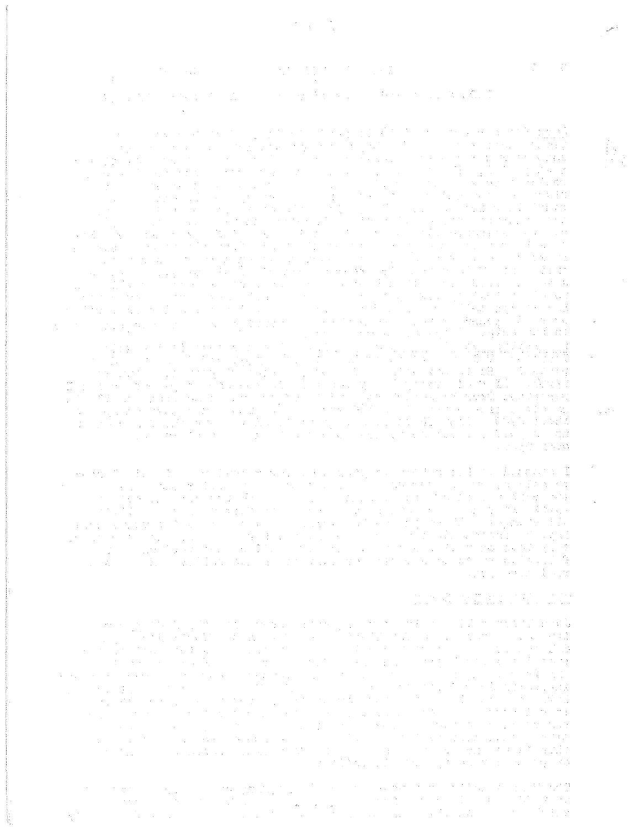# $\label{eq:2.1} \begin{array}{c} \mathbf{a}_1 \\ \mathbf{b}_2 \\ \mathbf{c}_3 \\ \mathbf{d}_4 \end{array} \qquad \begin{array}{c} \mathbf{a}_1 \\ \mathbf{b}_2 \\ \mathbf{c}_3 \\ \mathbf{c}_4 \\ \mathbf{d}_5 \\ \mathbf{d}_6 \end{array}$

# $\sim 200$  km s  $^{-1}$

 $\beta_{\rm w} \gtrsim 10$ 

 $\bar{u}$ 

# **SAM AT MORE STATE**

# 医血管内的 网络金属 医心脏 医血管 使感觉的第三人称形式 医血管囊瘤

u najelo poliv

. Also, we find that the second term is the second term of the second second second second  $\mathcal{L}^{\text{max}}_{\text{max}}$ **STATE SWITH APPEN** 

### $\begin{array}{l} \left\langle \left( \mathbf{1} \right) \right\rangle = \left\langle \mathbf{1} \right\rangle = \left\langle \left( \mathbf{1} \right) \right\rangle = \left\langle \left( \mathbf{1} \right) \right\rangle = \left\langle \left( \mathbf{1} \right) \right\rangle = \left\langle \left( \mathbf{1} \right) \right\rangle = \left\langle \left( \mathbf{1} \right) \right\rangle = \left\langle \left( \mathbf{1} \right) \right\rangle = \left\langle \left( \mathbf{1} \right) \right\rangle = \left\langle \left( \mathbf{1} \right) \right\rangle = \left\langle \left( \math$  $\alpha$  ,  $\alpha$  ,  $\alpha$

 $\begin{split} \mathcal{L}^{(1)}&=\frac{1}{2}\sum_{i=1}^{2}\left(\frac{1}{2}\sum_{j=1}^{2}\left(\frac{1}{2}\sum_{j=1}^{2}\left(\frac{1}{2}\sum_{j=1}^{2}\left(\frac{1}{2}\right)^{2}\right)\right)^{2}}\right)^{2} \mathcal{L}^{(1)}\left(\frac{1}{2}\sum_{j=1}^{2}\left(\frac{1}{2}\sum_{j=1}^{2}\left(\frac{1}{2}\sum_{j=1}^{2}\left(\frac{1}{2}\right)^{2}\right)\right)^{2} \mathcal{L}^{(1)}\left(\frac{1}{2}\sum_{j=1}^{2}\left$  $\label{eq:2} \frac{1}{\sqrt{2}}\sum_{i=1}^n\frac{1}{\sqrt{2}}\left(\frac{1}{\sqrt{2}}\sum_{i=1}^n\frac{1}{\sqrt{2}}\right)^2\left(\frac{1}{\sqrt{2}}\sum_{i=1}^n\frac{1}{\sqrt{2}}\right)^2.$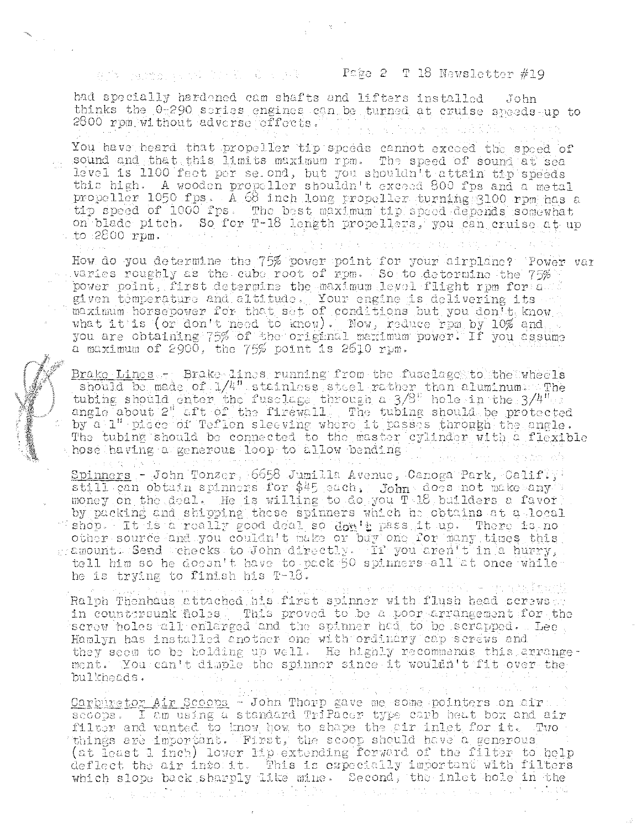had specially hardened cam shafts and lifters installed John thinks the 0-290 series engines con be turned at cruise speeds up to 2800 rpm without adverse effects.

You have heard that propeller tip speeds cannot exceed the speed of sound and that this limits maximum rpm. The speed of sound at sea level is 1100 feet per se ond, but you shouldn't attain tip speeds this high. A wooden propeller shouldn't exceed 800 fps and a metal propeller 1050 fps. A 68 inch long propeller turning 3100 rpm has a tip speed of 1000 fps. The best maximum tip speed depends somewhat on blade pitch. So for T-18 length propellers, you can cruise at up  $t$ o 2800 r $pn$ .

How do you determine the 75% power point for your airplane? Power var varies roughly as the cube root of rpm. So to determine the 75% power point, first determine the maximum level flight rpm for all given temperature and altitude. Your engine is delivering its maximum horsepower for that set of conditions but you don't know what it is (or don't need to know). Now, reduce rom by 10% and you are obtaining 75% of the original marimum power. If you assume a maximum of 2900, the 75% point is 2610 rpm.

Brake Lines = Brake lines running from the fuselage to the wheels should be made of  $1/4$ <sup>n</sup> stainless steel rather than aluminum. The tubing should enter the fusclage through a  $3/8$ <sup>r</sup> hole in the  $3/4$ <sup>n</sup> angle about 2" aft of the firewall. The tubing should be protected by a 1" piece of Teflon sleeving where it passes through the angle. The tubing should be connected to the master cylinder with a flexible hose having a generous loop to allow bending

Spinners - John Tonzer, 6658 Jumilla Avenue, Canoga Park, Calif<sup>ty:</sup> still can obtain spinners for \$45 each. John does not make any money on the deal. He is willing to do you T 18 builders a favor: by packing and shipping these spinners which he obtains at a local shop. It is a really good deal so don't pass it up. There is no other source and you couldn't make or buy one for many times this gramounts: Send wchecks to John directly. If you aren't in a hurry, tell him so he doesn't have to pack 50 spinners all at once while he is trying to finish his T-18.

se verificante a considerada e a contra a forma do forma do f Ralph Thenhaus attached his first spinner with flush head screws in countrisumk holes. This proved to be a poor arrangement for the scrow holes all enlarged and the spinner had to be scrapped. Lee, Hamlyn has installed another one with ordinary cap serews and they seem to be holding up well. He highly recommends this arrangement. You can't dimple the spinner since it wouldn't fit over the bulkheads.

Carpuretor Air Scoops - John Thorp gave me some pointers on air scoops. I am using a standard TriPacer type carb heat box and air filter and wanted to know how to shape the cir inlet for it. Two things are important. First, the scoop should have a generous (at least 1 inch) lower lip extending forward of the filter to help deflect the air into it. This is expecially important with filters which slope back sharply like mine. Second, the inlet hole in the  $\label{eq:2} \mathcal{L}_{\text{max}} = \frac{1}{\sqrt{2}} \sum_{i=1}^{N} \mathcal{L}_{\text{max}} \left( \frac{1}{\sqrt{2}} \right)$ 计可变 医血管 计自动信息 医心包 医心包 医心包 医心包膜炎

. We have a finite set of the set of the set of  $\mathcal{A}$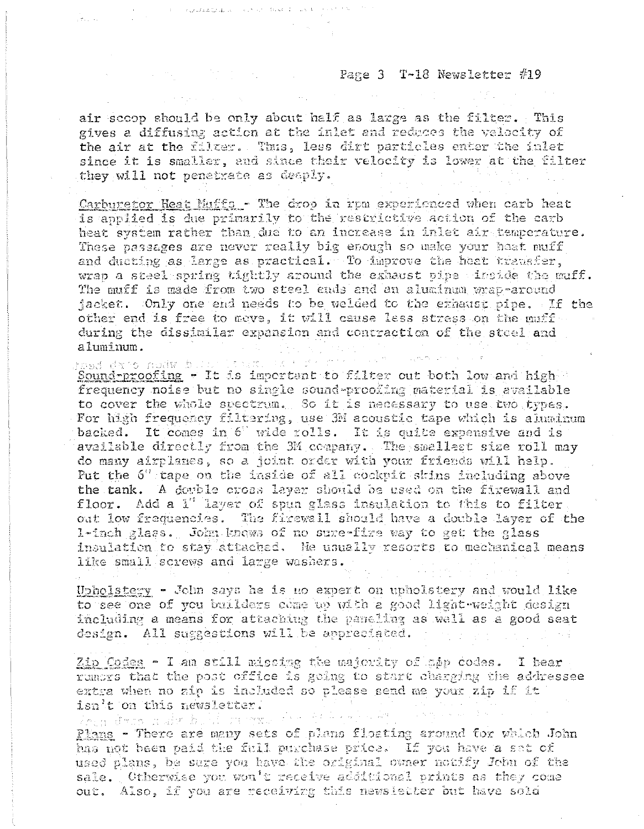# Page 3 T-18 Newsletter  $#19$

air secop should be only about half as large as the filter. This gives a diffusing action at the inlet and reduces the velocity of the air at the filter. Thus, less dirt particles enter the inlet since it is smaller, and since their velocity is lower at the filter they will not penetrate as deeply.

**RUPLED BILL AND ADDING** 

Carburetor Heat Muffs - The drop in rpm experienced when carb heat is applied is due primarily to the restrictive action of the carb heat system rather than due to an increase in inlet air temperature. These passages are never really big enough so make your heat muff and ducting as large as practical. To improve the heat transfer, wrap a steel spring tightly around the exhaust pipe inside the muff. The muff is made from two steel ends and an aluminum wrap-around jacket. Only one end needs to be welded to the exhaust pipe. If the other end is free to meve, it will cause less stress on the muff during the dissimilar expansion and contraction of the steel and aluminum.

mird when earb heat Sound-proofing - It is impertant to filter out both low and high frequency noise but no single sound-proofing material is available to cover the whole spectrum. So it is necessary to use two types. For high frequency filtering, use 3M acoustic tape which is aluminum backed. It comes in 6 wide rolls. It is quite expensive and is available directly from the 3M company. The smallest size roll may do many airplanes, so a joint order with your friends will help. Put the 6" tape on the inside of all cookpit skins including above the tank. A double cross layer should be used on the firewall and floor. Add a 1' laver of spun glass insulation to this to filter out low frequencies. The firewall should have a double layer of the l-inch glass. John knows of no sure-fire way to get the glass insulation to stay attached. He usually resorts to mechanical means like small screws and large washers.

Upholstery - John says he is no expert on upholstery and would like to see one of you builders come up with a good light-weight design including a means for attaching the paneling as well as a good seat design. All suggestions will be appreciated.

Zip Codes - I am still missing the majority of map codes. I bear rumers that the post office is going to start charging the addressee extra when no zip is included so please send me your zip if it isn't on this newsletter.

Very dens maiss bund on group of the Plans - There are many sets of plans floating around for which John has not been paid the full purchase price. If you have a set of used plans, be sure you have the original owner notify John of the sale. Otherwise you won't receive additional prints as they come out. Also, if you are receiving this newsletter but have sold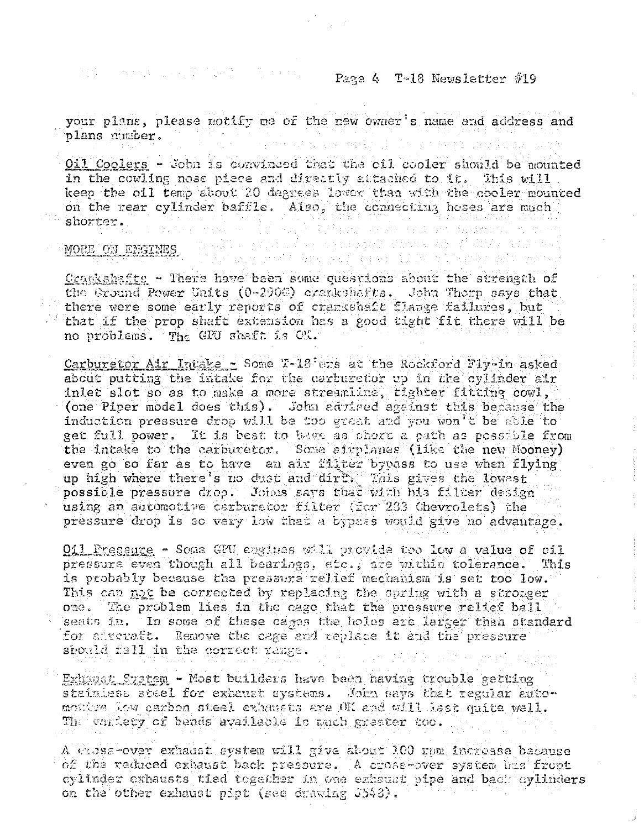# Page  $4$  T-18 Newsletter  $\#19$

s a cathrachd Brans an Chillip tha a

da bre pof tame illo ettanbrado popa

your plans, please notify me of the new owner's name and address and plans number.

Oil Coolers - John is convineed that the cil cooler should be mounted in the cowling nose piece and directly attached to it. This will keep the oil temp about 20 degrees lower than with the cooler mounted on the rear cylinder baffle. Also, the connecting hoses are much shorter. mate and and bestime

# MORE ON ENGINES

Crankshafts - There have been some questions about the strength of the Ground Power Units (0-2006) crankshafts. John Thorp says that<br>there were some early reports of crankshaft flange failures, but that if the prop shaft extension has a good tight fit there will be no problems. The GPU shaft is OK.

Carburetor Air Intake - Some T-18 ers at the Rockford Fly-in asked about putting the intake for the carburetor up in the cylinder air inlet slot so as to make a more streamline, tighter fitting cowl, (one Piper model does this). John advised against this because the induction pressure drop will be too great and you won't be able to get full power. It is best to have as short a path as possible from the intake to the carburetor. Some airplanes (like the new Mooney) even go so far as to have an air filter bypass to use when flying up high where there's no dust and dirf. This gives the lowest possible pressure drop. Johns says that with his filter design using an automotive carburetor filter (for 233 Chevrolets) the pressure drop is so very low that a bypass would give no advantage.

Oil Pressure - Some GPU engines will provide too low a value of cil pressure even though all bearings, etc., are within tolerance. This is probably because the pressure relief mechanism is set too low. This can not be corrected by replacing the spring with a stronger one. The problem lies in the cage that the pressure relief ball seats in. In some of these cases the holes are larger than standard for adveratt. Remove the cage and replace it and the pressure should fall in the correct range.

Exhaust System - Most builders have been having trouble getting stainless steel for exhaust systems. John says that regular automotive low carbon steel exhausts are OK and will last quite well. The wardery of bends available is much greater too.

A cross-over exhaust system will give about 100 rpm increase because of the reduced exhaust back pressure. A cross-over system has front cylinder exhausts tied together in one exhaust pipe and back cylinders on the other exhaust pipt (see drawing 5548).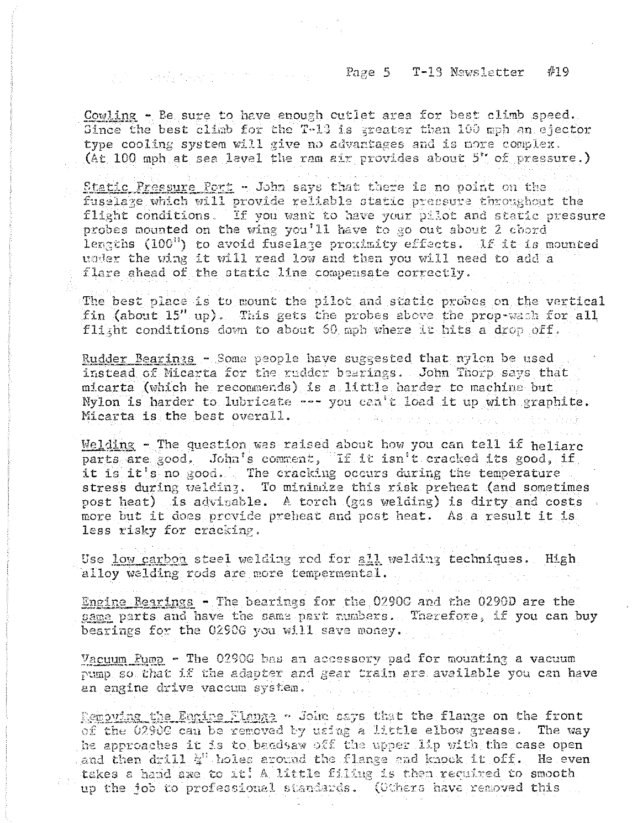Page 5 T-13 Newsletter #19

Cowling - Be sure to have enough outlet area for best climb speed. Since the best climb for the T-13 is greater than 100 mph an ejector type cooling system will give no advantages and is nore complex. (At 100 mph at sea level the ram air provides about  $5'$  of pressure.)

a de la completa de portante de la completa de

Static Pressure Port - John says that there is no point on the fuselage which will provide reliable static pressure throughout the flight conditions. If you want to have your pilot and static pressure probes mounted on the wing you'll have to go out about 2 chord lengths (100") to avoid fuselage proximity effects. Af it is mounted under the wing it will read low and then you will need to add a flare ahead of the static line compensate correctly.

The best place is to mount the pilot and static probes on the vertical fin (about 15" up). This gets the probes above the prop-wash for all flight conditions down to about 50 mph where it hits a drop off.

Rudder Bearings - Some people have suggested that nylon be used instead of Micarta for the rudder bearings. John Thorp says that micarta (which he recommends) is a little harder to machine but Nylon is harder to lubricate --- you can't load it up with graphite. Micarta is the best overall.

Welding - The question was raised about how you can tell if heliarc parts are good. John's comment, If it isn't cracked its good, if it is it's no good. The cracking occurs during the temperature stress during welding. To minimize this risk preheat (and sometimes post heat) is advisable. A torch (gas welding) is dirty and costs more but it does provide preheat and post heat. As a result it is less risky for cracking.

Use low carbon steel welding rod for all welding techniques. High alloy welding rods are more tempermental.

Engine Bearings - The bearings for the 0290G and the 0290D are the same parts and have the same part numbers. Therefore, if you can buy bearings for the 0290G you will save money.

Vacuum Pump - The 0290G has an accessory pad for mounting a vacuum pump so that if the adapter and gear train are available you can have an engine drive vaccum system.

Repoving the Engine Flange - John says that the flange on the front of the 0290C can be removed by using a little elbow grease. The way he approaches it is to bandsaw off the upper lip with the case open and then drill 4" holes around the flange and knock it off. He even takes a hand axe to it! A little filing is then recuired to smooth. up the job to professional standards. (Others have removed this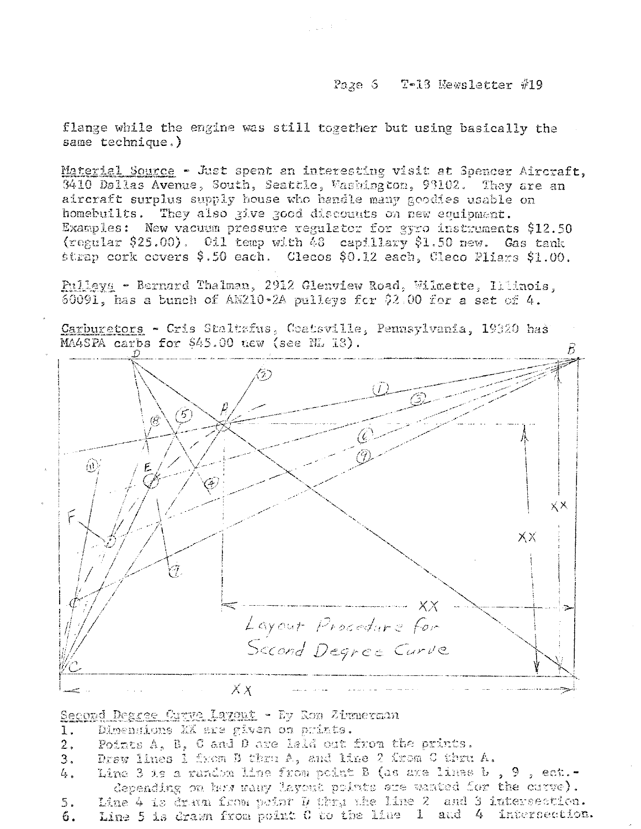### $Paze<sub>0</sub>$  $T-13$  Newsletter  $#19$

flange while the engine was still together but using basically the same technique.)

Material Source - Just spent an interesting visit at Spencer Aircraft. 3410 Dallas Avenue, South, Seattle, Washington, 93102. They are an aircraft surplus supply house who handle many goodies usable on homebuilts. They also give good discounts on new equipment. Examples: New vacuum pressure regulator for gyro instruments \$12.50 (regular \$25.00). Cil temp with 48 capillary \$1.50 new. Gas tank strap cork covers \$.50 each. Clecos \$0.12 each, Cleco Pliars \$1.00.

Pulleys - Bernard Thalman, 2912 Glenview Road, Wilmette, Illinois, 60091, has a bunch of AN210-2A pulleys for  $92.00$  for a set of 4.

Carburetors - Cris Staltzfus, Coatsville, Pennsylvania, 19320 has MA4SPA carbs for \$45.00 new (see NL 18).



Second Degree Curve Lavent - By Ron Zimmerman

- Dimensions XX are given on primts. 1.
- Points A, B. C and D are lald out from the prints.  $2.$
- Draw lines 1 from B thru A, and line 2 from C thru A. 3.
- Line 3 is a random line from point B (as axe lines b , 9 , ect.-4. depending on hav many layout points are wanted for the curve).
- Line 4 is drawn from point D thru the line 2 and 3 intersection.  $5.$
- Line 5 is drawn from point C to the line 1 and 4 intersection. 6.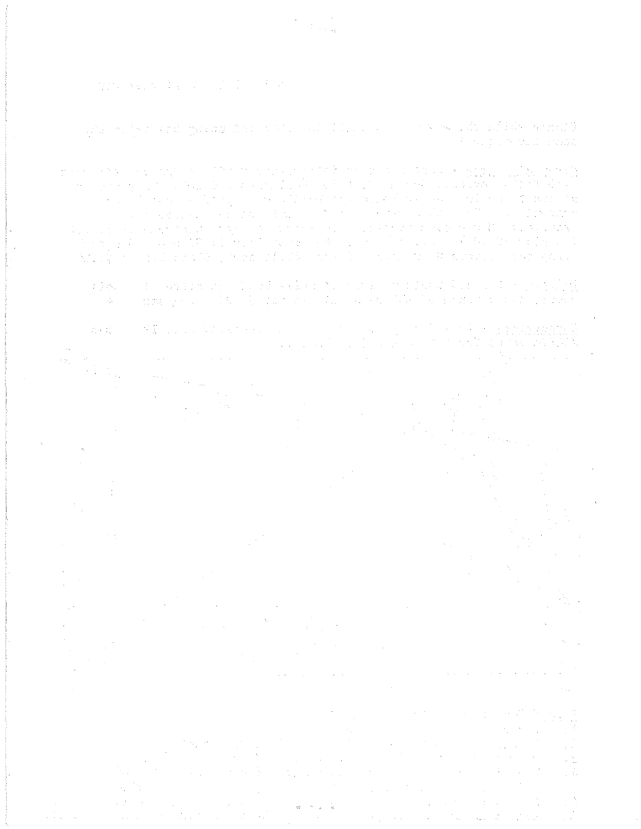gale on the second person for several suitable community of sense and enterpretation

 $\label{eq:2} \begin{split} \mathcal{A} &= \frac{1}{2} \left[ \frac{1}{2} \frac{1}{\sqrt{2}} \mathcal{A} \right] \mathcal{A} \, , \end{split}$ 

计字形 a dan geleng dan diturutkan dan dialektua dan berasal dari dalam kemudian dan berasal dari dalam kemudian dan<br>Sebagai dan dialektua dan dialektua dan berasal dan berasal dan berasal dan berasal dan berasal dan berasal da  $\sim 10^6$ 

| $\mathcal{L}(\mathcal{L}(\mathcal{L}(\mathcal{L}(\mathcal{L}(\mathcal{L}(\mathcal{L}(\mathcal{L}(\mathcal{L}(\mathcal{L}(\mathcal{L}(\mathcal{L}(\mathcal{L}(\mathcal{L}(\mathcal{L}(\mathcal{L}(\mathcal{L}(\mathcal{L}(\mathcal{L}(\mathcal{L}(\mathcal{L}(\mathcal{L}(\mathcal{L}(\mathcal{L}(\mathcal{L}(\mathcal{L}(\mathcal{L}(\mathcal{L}(\mathcal{L}(\mathcal{L}(\mathcal{L}(\mathcal{L}(\mathcal{L}(\mathcal{L}(\mathcal{L}(\mathcal{L}(\mathcal{$ |  | $\label{eq:2.1} \mathcal{N}_{\rm eff} = \frac{1}{2} \sum_{i=1}^{2} \frac{1}{2} \sum_{i=1}^{2} \frac{1}{2} \sum_{i=1}^{2} \frac{1}{2} \sum_{i=1}^{2} \frac{1}{2} \sum_{i=1}^{2} \frac{1}{2} \sum_{i=1}^{2} \frac{1}{2} \sum_{i=1}^{2} \frac{1}{2} \sum_{i=1}^{2} \frac{1}{2} \sum_{i=1}^{2} \frac{1}{2} \sum_{i=1}^{2} \frac{1}{2} \sum_{i=1}^{2} \frac{1}{2} \sum_{i=1$ |
|-------------------------------------------------------------------------------------------------------------------------------------------------------------------------------------------------------------------------------------------------------------------------------------------------------------------------------------------------------------------------------------------------------------------------------------------------------------|--|-------------------------------------------------------------------------------------------------------------------------------------------------------------------------------------------------------------------------------------------------------------------------------------------------------------------------------------------------------------------------|

 $\mathcal{L}(\mathcal{L}(\mathcal{L}(\mathcal{L}(\mathcal{L}(\mathcal{L}(\mathcal{L}(\mathcal{L}(\mathcal{L}(\mathcal{L}(\mathcal{L}(\mathcal{L}(\mathcal{L}(\mathcal{L}(\mathcal{L}(\mathcal{L}(\mathcal{L}(\mathcal{L}(\mathcal{L}(\mathcal{L}(\mathcal{L}(\mathcal{L}(\mathcal{L}(\mathcal{L}(\mathcal{L}(\mathcal{L}(\mathcal{L}(\mathcal{L}(\mathcal{L}(\mathcal{L}(\mathcal{L}(\mathcal{L}(\mathcal{L}(\mathcal{L}(\mathcal{L}(\mathcal{L}(\mathcal{$  $\mathcal{A}$  and  $\mathcal{A}$  is a subset of the set of  $\mathcal{A}$  and  $\mathcal{A}$ 

 $\mathcal{O}(\mathcal{F}^{\mathcal{A}})$  ,  $\mathcal{O}(\mathcal{F}^{\mathcal{A}})$  ,  $\mathcal{A}_\text{c}$  ,  $\mathcal{A}_\text{c}$  ,  $\mathcal{A}_\text{c}$  $\sim 10$  $\mathcal{O}(\mathbb{R}^d)$  ,  $\mathcal{O}(\mathbb{R}^d)$  ,  $\mathcal{O}(\mathbb{R}^d)$  $\frac{1}{2}$   $\frac{1}{2}$  $\mathcal{N}_{\rm eff}$  and  $\mathcal{N}_{\rm eff}$ 

 $\label{eq:2.1} \mathcal{F}_{\text{max}} = \mathcal{F}_{\text{max}} = \mathcal{F}_{\text{max}} = \mathcal{F}_{\text{max}} = \mathcal{F}_{\text{max}} = \mathcal{F}_{\text{max}} = \mathcal{F}_{\text{max}} = \mathcal{F}_{\text{max}}$ 

 $\label{eq:3} \mathcal{L}_{\mathcal{A}}(\mathcal{A}) = \mathcal{L}_{\mathcal{A}}(\mathcal{A}) = \mathcal{L}_{\mathcal{A}}(\mathcal{A}) = \mathcal{L}_{\mathcal{A}}(\mathcal{A}) = \mathcal{L}_{\mathcal{A}}(\mathcal{A})$  $\sqrt{1/2}$  ,  $\sqrt{1/2}$ 

 $\lambda_{\rm c}$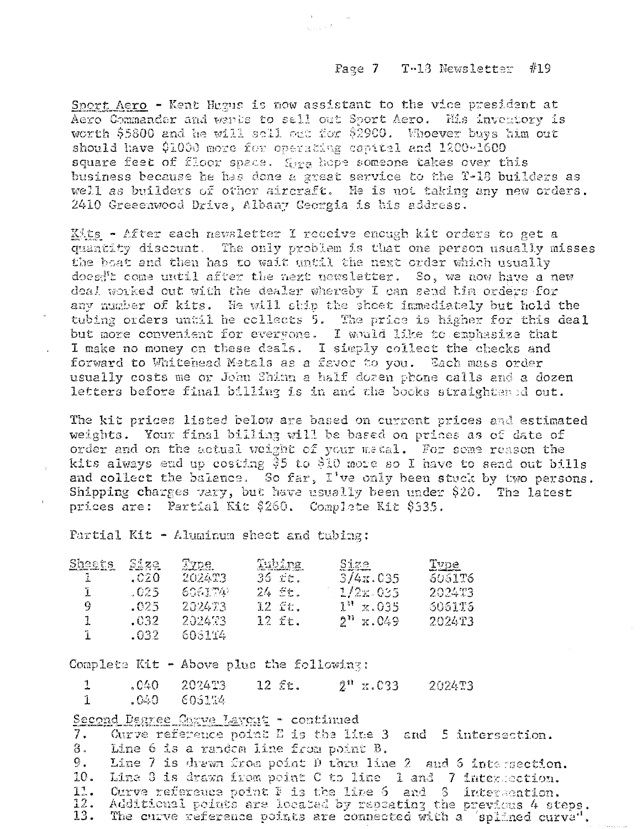# Page  $7 - T - 13$  Newsletter #19

Sport Aero - Kent Hegus is now assistant to the vice president at Aero Commander and wands to sell out Sport Aero. His inventory is worth \$5800 and he will soll out for \$2900. Whoever buys him out should have \$1000 more for operating capital and 1200-1600 square feet of floor space. Gore hope someone takes over this business because he has done a great service to the T-18 builders as well as builders of other aircraft. He is not taking any new orders. 2410 Greeenwood Drive, Albany Georgia is his address.

 $\label{eq:1} \delta_{\alpha\beta} = \delta_{\alpha\beta}$ 

Kits - After each newsletter I receive enough kit orders to get a quantity discount. The only problem is that one person usually misses the boat and then has to wait until the next order which usually doest't come until after the next newsletter. So, we now have a new deal worked out with the dealer whereby I can send him orders for any number of kits. He will ship the sheet immediately but hold the tubing orders until he collects 5. The price is higher for this deal<br>but more convenient for everyone. I would like to emphasize that I make no money on these deals. I simply collect the checks and forward to Whitehead Metals as a favor to you. Each mass order usually costs me or John Shinn a half dozen phone calls and a dozen letters before final billing is in and the books straightened out.

The kit prices listed below are based on current prices and estimated weights. Your final billing will be based on prices as of date of order and on the actual weight of your metal. For some reason the kits always end up costing  $\frac{5}{9}5$  to  $\$10$  more so I have to send out bills and collect the balance. So far, I've only been stuck by two persons. Shipping charges vary, but have usually been under \$20. The latest prices are: Partial Kit \$260. Complete Kit \$335.

Partial Kit - Aluminum sheet and tubing:

| Sheets        | Size   | $T$ <i>vpe</i> . | Tubing | Size                 | Type   |
|---------------|--------|------------------|--------|----------------------|--------|
| $\frac{1}{2}$ | .020   | 2024T3           | 36 řt. | 3/4x.035             | 6961T6 |
| $\mathbf{I}$  | $-025$ | 606174           | 24 St. | 1/2x.035             | 2024T3 |
| Q             | -025   | 202433           | 12 ft. | $1^{11} \times .035$ | 6061T5 |
|               | $-032$ | 202473           | 12 ft. | $2^n$ x.049          | 2024T3 |
| Ĩ.            | -032   | 606114           |        |                      |        |

Complete Kit - Above plus the following:

| $\mathbf{I}$ |                |  | .040 2024T3 12 ft. $2$ <sup>n</sup> x.033 2024T3 |  |
|--------------|----------------|--|--------------------------------------------------|--|
|              | $040 - 605174$ |  |                                                  |  |

Second Degree Curve Lavout - continued

Curve reference point E is the line 3 and 5 intersection.  $\mathcal{T}$ .

- Line 6 is a random line from point B. 8.
- 9. Line 7 is drewn from point D thru line 2 and 6 intersection.

10. Line 3 is drawn from point C to line 1 and 7 intersection.

11. Curve reference point F is the line 6 and 8 intersention. Additional points are located by repeating the previous 4 steps.  $12.$ 

The curve reference points are connected with a 'splined curve". 13.